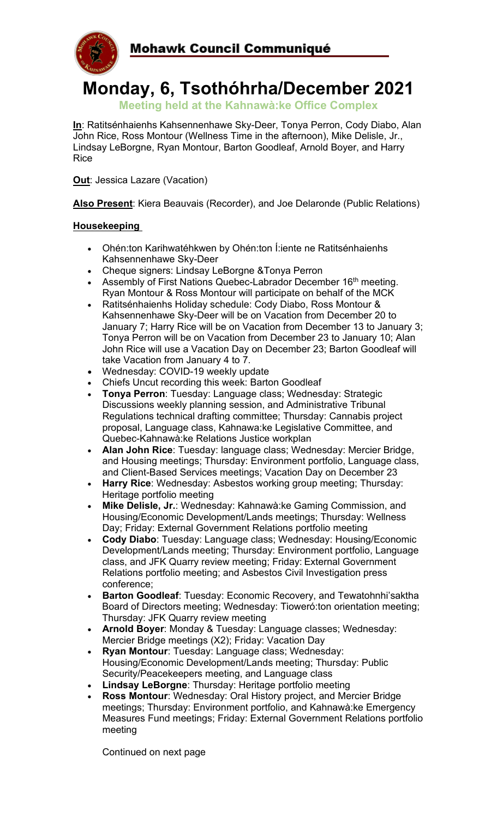

# **Monday, 6, Tsothóhrha/December 2021**

**Meeting held at the Kahnawà:ke Office Complex**

**In**: Ratitsénhaienhs Kahsennenhawe Sky-Deer, Tonya Perron, Cody Diabo, Alan John Rice, Ross Montour (Wellness Time in the afternoon), Mike Delisle, Jr., Lindsay LeBorgne, Ryan Montour, Barton Goodleaf, Arnold Boyer, and Harry Rice

**Out:** Jessica Lazare (Vacation)

**Also Present**: Kiera Beauvais (Recorder), and Joe Delaronde (Public Relations)

# **Housekeeping**

- Ohén:ton Karihwatéhkwen by Ohén:ton Í:iente ne Ratitsénhaienhs Kahsennenhawe Sky-Deer
- Cheque signers: Lindsay LeBorgne &Tonya Perron
- Assembly of First Nations Quebec-Labrador December 16<sup>th</sup> meeting. Ryan Montour & Ross Montour will participate on behalf of the MCK
- Ratitsénhaienhs Holiday schedule: Cody Diabo, Ross Montour & Kahsennenhawe Sky-Deer will be on Vacation from December 20 to January 7; Harry Rice will be on Vacation from December 13 to January 3; Tonya Perron will be on Vacation from December 23 to January 10; Alan John Rice will use a Vacation Day on December 23; Barton Goodleaf will take Vacation from January 4 to 7.
- Wednesday: COVID-19 weekly update
- Chiefs Uncut recording this week: Barton Goodleaf
- **Tonya Perron**: Tuesday: Language class; Wednesday: Strategic Discussions weekly planning session, and Administrative Tribunal Regulations technical drafting committee; Thursday: Cannabis project proposal, Language class, Kahnawa:ke Legislative Committee, and Quebec-Kahnawà:ke Relations Justice workplan
- **Alan John Rice**: Tuesday: language class; Wednesday: Mercier Bridge, and Housing meetings; Thursday: Environment portfolio, Language class, and Client-Based Services meetings; Vacation Day on December 23
- **Harry Rice**: Wednesday: Asbestos working group meeting; Thursday: Heritage portfolio meeting
- **Mike Delisle, Jr.**: Wednesday: Kahnawà:ke Gaming Commission, and Housing/Economic Development/Lands meetings; Thursday: Wellness Day; Friday: External Government Relations portfolio meeting
- **Cody Diabo**: Tuesday: Language class; Wednesday: Housing/Economic Development/Lands meeting; Thursday: Environment portfolio, Language class, and JFK Quarry review meeting; Friday: External Government Relations portfolio meeting; and Asbestos Civil Investigation press conference;
- **Barton Goodleaf**: Tuesday: Economic Recovery, and Tewatohnhi'saktha Board of Directors meeting; Wednesday: Tioweró:ton orientation meeting; Thursday: JFK Quarry review meeting
- **Arnold Boyer**: Monday & Tuesday: Language classes; Wednesday: Mercier Bridge meetings (X2); Friday: Vacation Day
- **Ryan Montour**: Tuesday: Language class; Wednesday: Housing/Economic Development/Lands meeting; Thursday: Public Security/Peacekeepers meeting, and Language class
- **Lindsay LeBorgne**: Thursday: Heritage portfolio meeting
- **Ross Montour**: Wednesday: Oral History project, and Mercier Bridge meetings; Thursday: Environment portfolio, and Kahnawà:ke Emergency Measures Fund meetings; Friday: External Government Relations portfolio meeting

Continued on next page